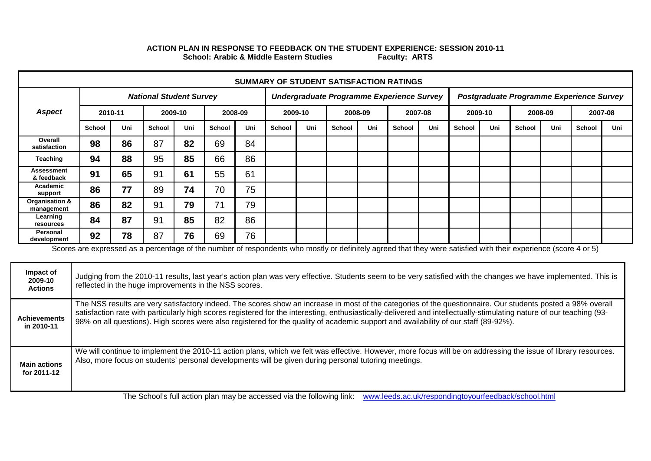## **School: Arabic & Middle Eastern Studies Faculty: ARTS ACTION PLAN IN RESPONSE TO FEEDBACK ON THE STUDENT EXPERIENCE: SESSION 2010-11**

| SUMMARY OF STUDENT SATISFACTION RATINGS |        |         |                                |         |               |     |               |     |         |     |                                           |     |               |         |        |         |                                          |         |
|-----------------------------------------|--------|---------|--------------------------------|---------|---------------|-----|---------------|-----|---------|-----|-------------------------------------------|-----|---------------|---------|--------|---------|------------------------------------------|---------|
|                                         |        |         | <b>National Student Survey</b> |         |               |     |               |     |         |     | Undergraduate Programme Experience Survey |     |               |         |        |         | Postgraduate Programme Experience Survey |         |
| <b>Aspect</b>                           |        | 2010-11 |                                | 2009-10 | 2008-09       |     | 2009-10       |     | 2008-09 |     | 2007-08                                   |     |               | 2009-10 |        | 2008-09 |                                          | 2007-08 |
|                                         | School | Uni     | <b>School</b>                  | Uni     | <b>School</b> | Uni | <b>School</b> | Uni | School  | Uni | <b>School</b>                             | Uni | <b>School</b> | Uni     | School | Uni     | School                                   | Uni     |
| Overall<br>satisfaction                 | 98     | 86      | 87                             | 82      | 69            | 84  |               |     |         |     |                                           |     |               |         |        |         |                                          |         |
| Teaching                                | 94     | 88      | 95                             | 85      | 66            | 86  |               |     |         |     |                                           |     |               |         |        |         |                                          |         |
| Assessment<br>& feedback                | 91     | 65      | 91                             | 61      | 55            | 61  |               |     |         |     |                                           |     |               |         |        |         |                                          |         |
| Academic<br>support                     | 86     | 77      | 89                             | 74      | 70            | 75  |               |     |         |     |                                           |     |               |         |        |         |                                          |         |
| Organisation &<br>management            | 86     | 82      | 91                             | 79      | 71            | 79  |               |     |         |     |                                           |     |               |         |        |         |                                          |         |
| Learning<br>resources                   | 84     | 87      | 91                             | 85      | 82            | 86  |               |     |         |     |                                           |     |               |         |        |         |                                          |         |
| Personal<br>development                 | 92     | 78      | 87                             | 76      | 69            | 76  |               |     |         |     |                                           |     |               |         |        |         |                                          |         |

Scores are expressed as a percentage of the number of respondents who mostly or definitely agreed that they were satisfied with their experience (score 4 or 5)

| The NSS results are very satisfactory indeed. The scores show an increase in most of the categories of the questionnaire. Our students posted a 98% overall                                                                                                                                                                                                                                                                                      | Impact of<br>2009-10<br><b>Actions</b> | Judging from the 2010-11 results, last year's action plan was very effective. Students seem to be very satisfied with the changes we have implemented. This is<br>reflected in the huge improvements in the NSS scores. |
|--------------------------------------------------------------------------------------------------------------------------------------------------------------------------------------------------------------------------------------------------------------------------------------------------------------------------------------------------------------------------------------------------------------------------------------------------|----------------------------------------|-------------------------------------------------------------------------------------------------------------------------------------------------------------------------------------------------------------------------|
| satisfaction rate with particularly high scores registered for the interesting, enthusiastically-delivered and intellectually-stimulating nature of our teaching (93-<br><b>Achievements</b><br>98% on all questions). High scores were also registered for the quality of academic support and availability of our staff (89-92%).<br>in 2010-11                                                                                                |                                        |                                                                                                                                                                                                                         |
| We will continue to implement the 2010-11 action plans, which we felt was effective. However, more focus will be on addressing the issue of library resources.<br>Also, more focus on students' personal developments will be given during personal tutoring meetings.<br><b>Main actions</b><br>for 2011-12<br>The Oshealle full esting plan may be essessed up the following light - would easily as ulthouse displacing when defeathered band |                                        |                                                                                                                                                                                                                         |

The School's full action plan may be accessed via the following link: [www.leeds.ac.uk/respondingtoyourfeedback/school.html](http://www.leeds.ac.uk/respondingtoyourfeedback/school.html)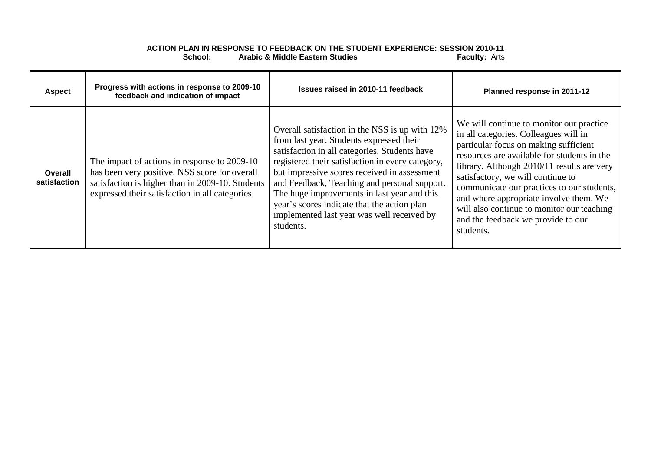## **ACTION PLAN IN RESPONSE TO FEEDBACK ON THE STUDENT EXPERIENCE: SESSION 2010-11 Arabic & Middle Eastern Studies**

| <b>Aspect</b>           | Progress with actions in response to 2009-10<br>feedback and indication of impact                                                                                                                    | Issues raised in 2010-11 feedback                                                                                                                                                                                                                                                                                                                                                                                                                        | Planned response in 2011-12                                                                                                                                                                                                                                                                                                                                                                                                                           |
|-------------------------|------------------------------------------------------------------------------------------------------------------------------------------------------------------------------------------------------|----------------------------------------------------------------------------------------------------------------------------------------------------------------------------------------------------------------------------------------------------------------------------------------------------------------------------------------------------------------------------------------------------------------------------------------------------------|-------------------------------------------------------------------------------------------------------------------------------------------------------------------------------------------------------------------------------------------------------------------------------------------------------------------------------------------------------------------------------------------------------------------------------------------------------|
| Overall<br>satisfaction | The impact of actions in response to 2009-10<br>has been very positive. NSS score for overall<br>satisfaction is higher than in 2009-10. Students<br>expressed their satisfaction in all categories. | Overall satisfaction in the NSS is up with 12%<br>from last year. Students expressed their<br>satisfaction in all categories. Students have<br>registered their satisfaction in every category,<br>but impressive scores received in assessment<br>and Feedback, Teaching and personal support.<br>The huge improvements in last year and this<br>year's scores indicate that the action plan<br>implemented last year was well received by<br>students. | We will continue to monitor our practice<br>in all categories. Colleagues will in<br>particular focus on making sufficient<br>resources are available for students in the<br>library. Although 2010/11 results are very<br>satisfactory, we will continue to<br>communicate our practices to our students,<br>and where appropriate involve them. We<br>will also continue to monitor our teaching<br>and the feedback we provide to our<br>students. |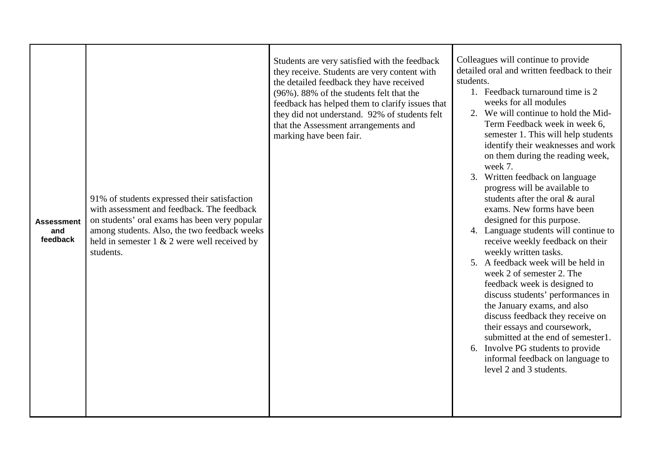| <b>Assessment</b><br>and<br>feedback | 91% of students expressed their satisfaction<br>with assessment and feedback. The feedback<br>on students' oral exams has been very popular<br>among students. Also, the two feedback weeks<br>held in semester $1 \& 2$ were well received by<br>students. | Students are very satisfied with the feedback<br>they receive. Students are very content with<br>the detailed feedback they have received<br>(96%). 88% of the students felt that the<br>feedback has helped them to clarify issues that<br>they did not understand. 92% of students felt<br>that the Assessment arrangements and<br>marking have been fair. | Colleagues will continue to provide<br>detailed oral and written feedback to their<br>students.<br>1. Feedback turnaround time is 2<br>weeks for all modules<br>2. We will continue to hold the Mid-<br>Term Feedback week in week 6,<br>semester 1. This will help students<br>identify their weaknesses and work<br>on them during the reading week,<br>week 7.<br>3. Written feedback on language<br>progress will be available to<br>students after the oral & aural<br>exams. New forms have been<br>designed for this purpose.<br>4. Language students will continue to<br>receive weekly feedback on their<br>weekly written tasks.<br>5. A feedback week will be held in<br>week 2 of semester 2. The<br>feedback week is designed to<br>discuss students' performances in<br>the January exams, and also<br>discuss feedback they receive on<br>their essays and coursework,<br>submitted at the end of semester1.<br>6. Involve PG students to provide<br>informal feedback on language to<br>level 2 and 3 students. |
|--------------------------------------|-------------------------------------------------------------------------------------------------------------------------------------------------------------------------------------------------------------------------------------------------------------|--------------------------------------------------------------------------------------------------------------------------------------------------------------------------------------------------------------------------------------------------------------------------------------------------------------------------------------------------------------|---------------------------------------------------------------------------------------------------------------------------------------------------------------------------------------------------------------------------------------------------------------------------------------------------------------------------------------------------------------------------------------------------------------------------------------------------------------------------------------------------------------------------------------------------------------------------------------------------------------------------------------------------------------------------------------------------------------------------------------------------------------------------------------------------------------------------------------------------------------------------------------------------------------------------------------------------------------------------------------------------------------------------------|
|--------------------------------------|-------------------------------------------------------------------------------------------------------------------------------------------------------------------------------------------------------------------------------------------------------------|--------------------------------------------------------------------------------------------------------------------------------------------------------------------------------------------------------------------------------------------------------------------------------------------------------------------------------------------------------------|---------------------------------------------------------------------------------------------------------------------------------------------------------------------------------------------------------------------------------------------------------------------------------------------------------------------------------------------------------------------------------------------------------------------------------------------------------------------------------------------------------------------------------------------------------------------------------------------------------------------------------------------------------------------------------------------------------------------------------------------------------------------------------------------------------------------------------------------------------------------------------------------------------------------------------------------------------------------------------------------------------------------------------|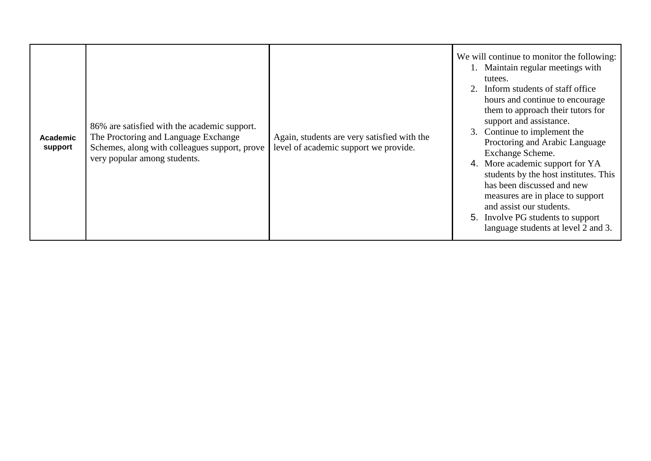| Academic<br>support | 86% are satisfied with the academic support.<br>The Proctoring and Language Exchange<br>Schemes, along with colleagues support, prove<br>very popular among students. | Again, students are very satisfied with the<br>level of academic support we provide. | We will continue to monitor the following:<br>1. Maintain regular meetings with<br>tutees.<br>2. Inform students of staff office<br>hours and continue to encourage<br>them to approach their tutors for<br>support and assistance.<br>3. Continue to implement the<br>Proctoring and Arabic Language<br>Exchange Scheme.<br>4. More academic support for YA<br>students by the host institutes. This<br>has been discussed and new<br>measures are in place to support<br>and assist our students.<br>5. Involve PG students to support<br>language students at level 2 and 3. |
|---------------------|-----------------------------------------------------------------------------------------------------------------------------------------------------------------------|--------------------------------------------------------------------------------------|---------------------------------------------------------------------------------------------------------------------------------------------------------------------------------------------------------------------------------------------------------------------------------------------------------------------------------------------------------------------------------------------------------------------------------------------------------------------------------------------------------------------------------------------------------------------------------|
|---------------------|-----------------------------------------------------------------------------------------------------------------------------------------------------------------------|--------------------------------------------------------------------------------------|---------------------------------------------------------------------------------------------------------------------------------------------------------------------------------------------------------------------------------------------------------------------------------------------------------------------------------------------------------------------------------------------------------------------------------------------------------------------------------------------------------------------------------------------------------------------------------|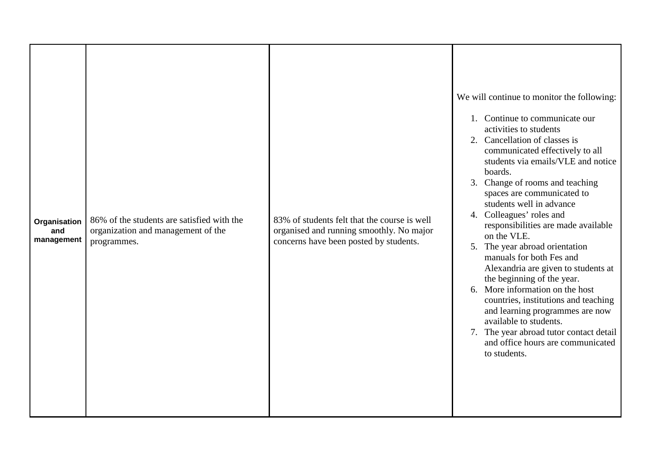| Organisation<br>and<br>management | 86% of the students are satisfied with the<br>organization and management of the<br>programmes. | 83% of students felt that the course is well<br>organised and running smoothly. No major<br>concerns have been posted by students. | We will continue to monitor the following:<br>1. Continue to communicate our<br>activities to students<br>2. Cancellation of classes is<br>communicated effectively to all<br>students via emails/VLE and notice<br>boards.<br>3. Change of rooms and teaching<br>spaces are communicated to<br>students well in advance<br>4. Colleagues' roles and<br>responsibilities are made available<br>on the VLE.<br>5. The year abroad orientation<br>manuals for both Fes and<br>Alexandria are given to students at<br>the beginning of the year.<br>6. More information on the host<br>countries, institutions and teaching<br>and learning programmes are now<br>available to students.<br>7. The year abroad tutor contact detail<br>and office hours are communicated<br>to students. |
|-----------------------------------|-------------------------------------------------------------------------------------------------|------------------------------------------------------------------------------------------------------------------------------------|---------------------------------------------------------------------------------------------------------------------------------------------------------------------------------------------------------------------------------------------------------------------------------------------------------------------------------------------------------------------------------------------------------------------------------------------------------------------------------------------------------------------------------------------------------------------------------------------------------------------------------------------------------------------------------------------------------------------------------------------------------------------------------------|
|-----------------------------------|-------------------------------------------------------------------------------------------------|------------------------------------------------------------------------------------------------------------------------------------|---------------------------------------------------------------------------------------------------------------------------------------------------------------------------------------------------------------------------------------------------------------------------------------------------------------------------------------------------------------------------------------------------------------------------------------------------------------------------------------------------------------------------------------------------------------------------------------------------------------------------------------------------------------------------------------------------------------------------------------------------------------------------------------|